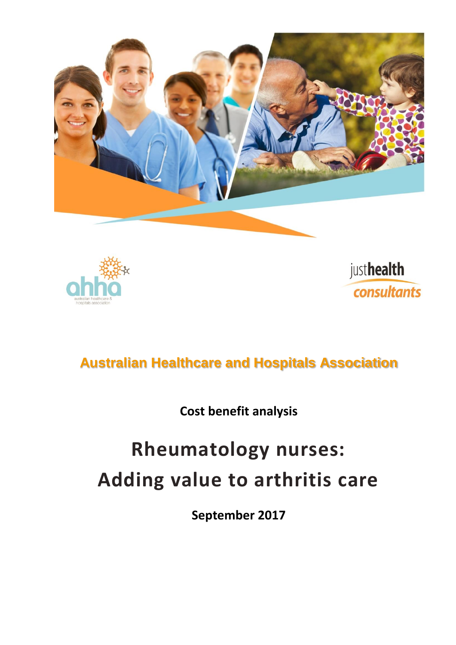





# **Australian Healthcare and Hospitals Association**

**Cost benefit analysis**

# **Rheumatology nurses: Adding value to arthritis care**

**September 2017**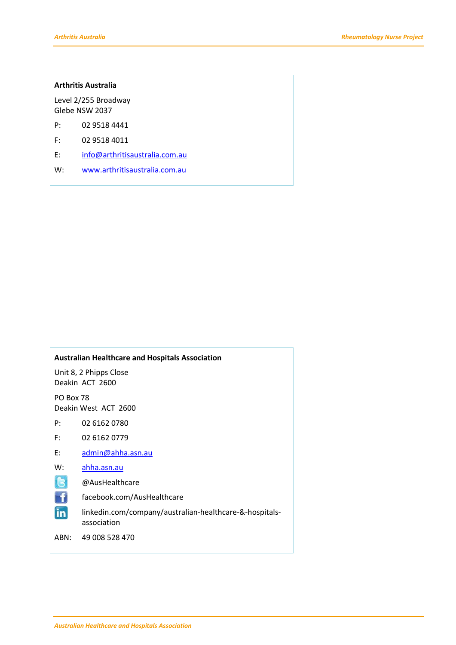#### **Arthritis Australia**

Level 2/255 Broadway Glebe NSW 2037

- P: 02 9518 4441
- F: 02 9518 4011
- E: [info@arthritisaustralia.com.au](mailto:info@arthritisaustralia.com.au)
- W: [www.arthritisaustralia.com.au](http://www.arthritisaustralia.com.au/)

#### **Australian Healthcare and Hospitals Association**

Unit 8, 2 Phipps Close Deakin ACT 2600

PO Box 78 Deakin West ACT 2600

P: 02 6162 0780

- F: 02 6162 0779
- E: [admin@ahha.asn.au](mailto:admin@ahha.asn.au)
- W: [ahha.asn.au](http://www.ahha.asn.au/)
- **IR** @AusHealthcare
- Ħ facebook.com/AusHealthcare
- În linkedin.com/company/australian-healthcare-&-hospitalsassociation

ABN: 49 008 528 470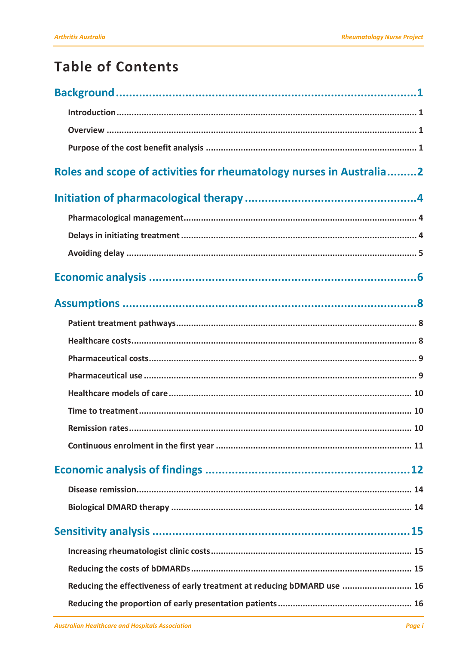# **Table of Contents**

| Roles and scope of activities for rheumatology nurses in Australia2      |
|--------------------------------------------------------------------------|
|                                                                          |
|                                                                          |
|                                                                          |
|                                                                          |
|                                                                          |
|                                                                          |
|                                                                          |
|                                                                          |
|                                                                          |
|                                                                          |
|                                                                          |
|                                                                          |
|                                                                          |
|                                                                          |
|                                                                          |
|                                                                          |
|                                                                          |
|                                                                          |
|                                                                          |
|                                                                          |
| Reducing the effectiveness of early treatment at reducing bDMARD use  16 |
|                                                                          |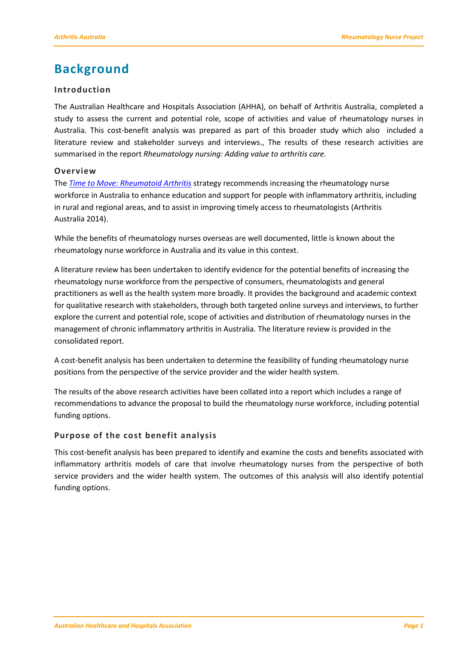# <span id="page-4-0"></span>**Background**

#### <span id="page-4-1"></span>**Introduction**

The Australian Healthcare and Hospitals Association (AHHA), on behalf of Arthritis Australia, completed a study to assess the current and potential role, scope of activities and value of rheumatology nurses in Australia. This cost-benefit analysis was prepared as part of this broader study which also included a literature review and stakeholder surveys and interviews., The results of these research activities are summarised in the report *Rheumatology nursing: Adding value to arthritis care.*

#### <span id="page-4-2"></span>**Overview**

The *[Time to Move: Rheumatoid Arthritis](http://www.arthritisaustralia.com.au/index.php/reports/time-to-move-arthritis-reports.html)* strategy recommends increasing the rheumatology nurse workforce in Australia to enhance education and support for people with inflammatory arthritis, including in rural and regional areas, and to assist in improving timely access to rheumatologists (Arthritis Australia 2014).

While the benefits of rheumatology nurses overseas are well documented, little is known about the rheumatology nurse workforce in Australia and its value in this context.

A literature review has been undertaken to identify evidence for the potential benefits of increasing the rheumatology nurse workforce from the perspective of consumers, rheumatologists and general practitioners as well as the health system more broadly. It provides the background and academic context for qualitative research with stakeholders, through both targeted online surveys and interviews, to further explore the current and potential role, scope of activities and distribution of rheumatology nurses in the management of chronic inflammatory arthritis in Australia. The literature review is provided in the consolidated report.

A cost-benefit analysis has been undertaken to determine the feasibility of funding rheumatology nurse positions from the perspective of the service provider and the wider health system.

The results of the above research activities have been collated into a report which includes a range of recommendations to advance the proposal to build the rheumatology nurse workforce, including potential funding options.

#### <span id="page-4-3"></span>**Purpose of the cost benefit analysis**

This cost-benefit analysis has been prepared to identify and examine the costs and benefits associated with inflammatory arthritis models of care that involve rheumatology nurses from the perspective of both service providers and the wider health system. The outcomes of this analysis will also identify potential funding options.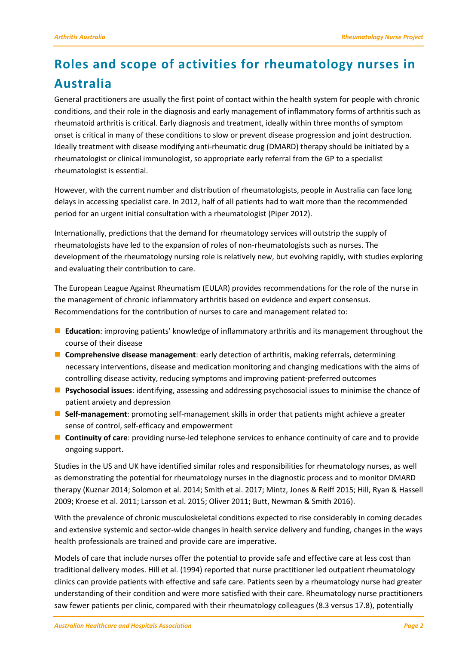# <span id="page-5-0"></span>**Roles and scope of activities for rheumatology nurses in Australia**

General practitioners are usually the first point of contact within the health system for people with chronic conditions, and their role in the diagnosis and early management of inflammatory forms of arthritis such as rheumatoid arthritis is critical. Early diagnosis and treatment, ideally within three months of symptom onset is critical in many of these conditions to slow or prevent disease progression and joint destruction. Ideally treatment with disease modifying anti-rheumatic drug (DMARD) therapy should be initiated by a rheumatologist or clinical immunologist, so appropriate early referral from the GP to a specialist rheumatologist is essential.

However, with the current number and distribution of rheumatologists, people in Australia can face long delays in accessing specialist care. In 2012, half of all patients had to wait more than the recommended period for an urgent initial consultation with a rheumatologist (Piper 2012).

Internationally, predictions that the demand for rheumatology services will outstrip the supply of rheumatologists have led to the expansion of roles of non-rheumatologists such as nurses. The development of the rheumatology nursing role is relatively new, but evolving rapidly, with studies exploring and evaluating their contribution to care.

The European League Against Rheumatism (EULAR) provides recommendations for the role of the nurse in the management of chronic inflammatory arthritis based on evidence and expert consensus. Recommendations for the contribution of nurses to care and management related to:

- **Education**: improving patients' knowledge of inflammatory arthritis and its management throughout the course of their disease
- **Comprehensive disease management**: early detection of arthritis, making referrals, determining necessary interventions, disease and medication monitoring and changing medications with the aims of controlling disease activity, reducing symptoms and improving patient-preferred outcomes
- **Psychosocial issues**: identifying, assessing and addressing psychosocial issues to minimise the chance of patient anxiety and depression
- **Self-management**: promoting self-management skills in order that patients might achieve a greater sense of control, self-efficacy and empowerment
- **Continuity of care**: providing nurse-led telephone services to enhance continuity of care and to provide ongoing support.

Studies in the US and UK have identified similar roles and responsibilities for rheumatology nurses, as well as demonstrating the potential for rheumatology nurses in the diagnostic process and to monitor DMARD therapy (Kuznar 2014; Solomon et al. 2014; Smith et al. 2017; Mintz, Jones & Reiff 2015; Hill, Ryan & Hassell 2009; Kroese et al. 2011; Larsson et al. 2015; Oliver 2011; Butt, Newman & Smith 2016).

With the prevalence of chronic musculoskeletal conditions expected to rise considerably in coming decades and extensive systemic and sector-wide changes in health service delivery and funding, changes in the ways health professionals are trained and provide care are imperative.

Models of care that include nurses offer the potential to provide safe and effective care at less cost than traditional delivery modes. Hill et al. (1994) reported that nurse practitioner led outpatient rheumatology clinics can provide patients with effective and safe care. Patients seen by a rheumatology nurse had greater understanding of their condition and were more satisfied with their care. Rheumatology nurse practitioners saw fewer patients per clinic, compared with their rheumatology colleagues (8.3 versus 17.8), potentially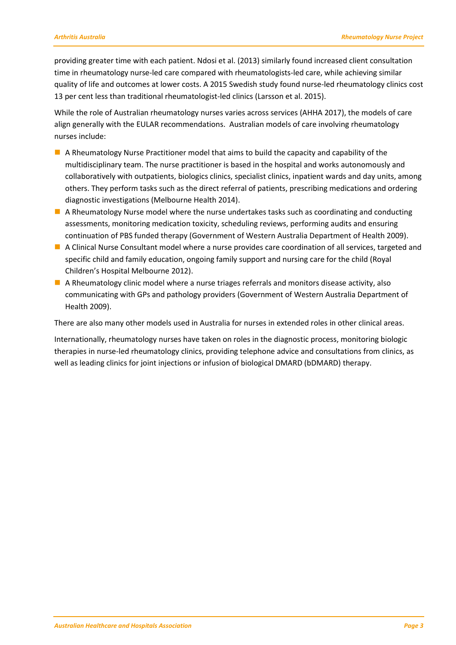providing greater time with each patient. Ndosi et al. (2013) similarly found increased client consultation time in rheumatology nurse-led care compared with rheumatologists-led care, while achieving similar quality of life and outcomes at lower costs. A 2015 Swedish study found nurse-led rheumatology clinics cost 13 per cent less than traditional rheumatologist-led clinics (Larsson et al. 2015).

While the role of Australian rheumatology nurses varies across services (AHHA 2017), the models of care align generally with the EULAR recommendations. Australian models of care involving rheumatology nurses include:

- A Rheumatology Nurse Practitioner model that aims to build the capacity and capability of the multidisciplinary team. The nurse practitioner is based in the hospital and works autonomously and collaboratively with outpatients, biologics clinics, specialist clinics, inpatient wards and day units, among others. They perform tasks such as the direct referral of patients, prescribing medications and ordering diagnostic investigations (Melbourne Health 2014).
- $\blacksquare$  A Rheumatology Nurse model where the nurse undertakes tasks such as coordinating and conducting assessments, monitoring medication toxicity, scheduling reviews, performing audits and ensuring continuation of PBS funded therapy (Government of Western Australia Department of Health 2009).
- A Clinical Nurse Consultant model where a nurse provides care coordination of all services, targeted and specific child and family education, ongoing family support and nursing care for the child (Royal Children's Hospital Melbourne 2012).
- A Rheumatology clinic model where a nurse triages referrals and monitors disease activity, also communicating with GPs and pathology providers (Government of Western Australia Department of Health 2009).

There are also many other models used in Australia for nurses in extended roles in other clinical areas.

Internationally, rheumatology nurses have taken on roles in the diagnostic process, monitoring biologic therapies in nurse-led rheumatology clinics, providing telephone advice and consultations from clinics, as well as leading clinics for joint injections or infusion of biological DMARD (bDMARD) therapy.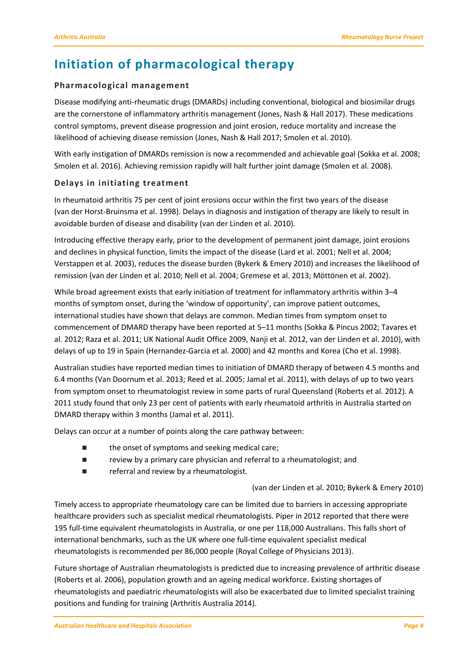# <span id="page-7-0"></span>**Initiation of pharmacological therapy**

#### <span id="page-7-1"></span>**Pharmacological management**

Disease modifying anti-rheumatic drugs (DMARDs) including conventional, biological and biosimilar drugs are the cornerstone of inflammatory arthritis management (Jones, Nash & Hall 2017). These medications control symptoms, prevent disease progression and joint erosion, reduce mortality and increase the likelihood of achieving disease remission (Jones, Nash & Hall 2017; Smolen et al. 2010).

With early instigation of DMARDs remission is now a recommended and achievable goal (Sokka et al. 2008; Smolen et al. 2016). Achieving remission rapidly will halt further joint damage (Smolen et al. 2008).

#### <span id="page-7-2"></span>**Delays in initiating treatment**

In rheumatoid arthritis 75 per cent of joint erosions occur within the first two years of the disease (van der Horst-Bruinsma et al. 1998). Delays in diagnosis and instigation of therapy are likely to result in avoidable burden of disease and disability (van der Linden et al. 2010).

Introducing effective therapy early, prior to the development of permanent joint damage, joint erosions and declines in physical function, limits the impact of the disease (Lard et al. 2001; Nell et al. 2004; Verstappen et al. 2003), reduces the disease burden (Bykerk & Emery 2010) and increases the likelihood of remission (van der Linden et al. 2010; Nell et al. 2004; Gremese et al. 2013; Möttönen et al. 2002).

While broad agreement exists that early initiation of treatment for inflammatory arthritis within 3–4 months of symptom onset, during the 'window of opportunity', can improve patient outcomes, international studies have shown that delays are common. Median times from symptom onset to commencement of DMARD therapy have been reported at 5–11 months (Sokka & Pincus 2002; Tavares et al. 2012; Raza et al. 2011; UK National Audit Office 2009, Nanji et al. 2012, van der Linden et al. 2010), with delays of up to 19 in Spain (Hernandez-Garcia et al. 2000) and 42 months and Korea (Cho et al. 1998).

Australian studies have reported median times to initiation of DMARD therapy of between 4.5 months and 6.4 months (Van Doornum et al. 2013; Reed et al. 2005; Jamal et al. 2011), with delays of up to two years from symptom onset to rheumatologist review in some parts of rural Queensland (Roberts et al. 2012). A 2011 study found that only 23 per cent of patients with early rheumatoid arthritis in Australia started on DMARD therapy within 3 months (Jamal et al. 2011).

Delays can occur at a number of points along the care pathway between:

- the onset of symptoms and seeking medical care;
- **Fig.** review by a primary care physician and referral to a rheumatologist; and
- **Example 2** referral and review by a rheumatologist.

#### (van der Linden et al. 2010; Bykerk & Emery 2010)

Timely access to appropriate rheumatology care can be limited due to barriers in accessing appropriate healthcare providers such as specialist medical rheumatologists. Piper in 2012 reported that there were 195 full-time equivalent rheumatologists in Australia, or one per 118,000 Australians. This falls short of international benchmarks, such as the UK where one full-time equivalent specialist medical rheumatologists is recommended per 86,000 people (Royal College of Physicians 2013).

Future shortage of Australian rheumatologists is predicted due to increasing prevalence of arthritic disease (Roberts et al. 2006), population growth and an ageing medical workforce. Existing shortages of rheumatologists and paediatric rheumatologists will also be exacerbated due to limited specialist training positions and funding for training (Arthritis Australia 2014).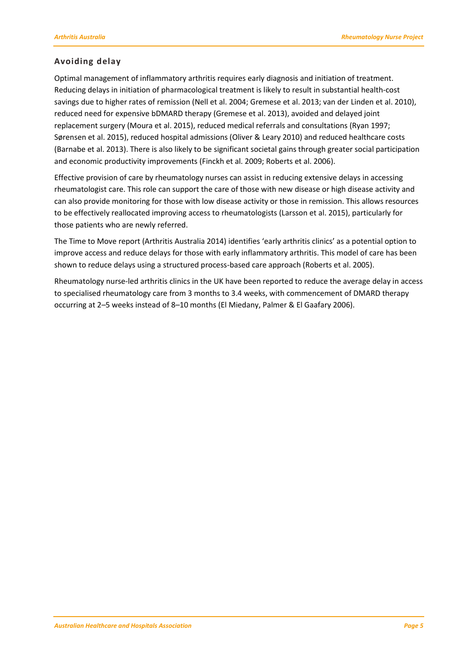#### <span id="page-8-0"></span>**Avoiding delay**

Optimal management of inflammatory arthritis requires early diagnosis and initiation of treatment. Reducing delays in initiation of pharmacological treatment is likely to result in substantial health-cost savings due to higher rates of remission (Nell et al. 2004; Gremese et al. 2013; van der Linden et al. 2010), reduced need for expensive bDMARD therapy (Gremese et al. 2013), avoided and delayed joint replacement surgery (Moura et al. 2015), reduced medical referrals and consultations (Ryan 1997; Sørensen et al. 2015), reduced hospital admissions (Oliver & Leary 2010) and reduced healthcare costs (Barnabe et al. 2013). There is also likely to be significant societal gains through greater social participation and economic productivity improvements (Finckh et al. 2009; Roberts et al. 2006).

Effective provision of care by rheumatology nurses can assist in reducing extensive delays in accessing rheumatologist care. This role can support the care of those with new disease or high disease activity and can also provide monitoring for those with low disease activity or those in remission. This allows resources to be effectively reallocated improving access to rheumatologists (Larsson et al. 2015), particularly for those patients who are newly referred.

The Time to Move report (Arthritis Australia 2014) identifies 'early arthritis clinics' as a potential option to improve access and reduce delays for those with early inflammatory arthritis. This model of care has been shown to reduce delays using a structured process-based care approach (Roberts et al. 2005).

Rheumatology nurse-led arthritis clinics in the UK have been reported to reduce the average delay in access to specialised rheumatology care from 3 months to 3.4 weeks, with commencement of DMARD therapy occurring at 2–5 weeks instead of 8–10 months (El Miedany, Palmer & El Gaafary 2006).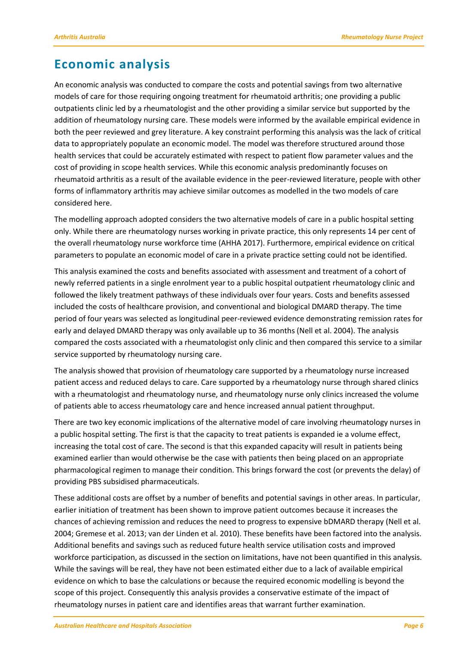### <span id="page-9-0"></span>**Economic analysis**

An economic analysis was conducted to compare the costs and potential savings from two alternative models of care for those requiring ongoing treatment for rheumatoid arthritis; one providing a public outpatients clinic led by a rheumatologist and the other providing a similar service but supported by the addition of rheumatology nursing care. These models were informed by the available empirical evidence in both the peer reviewed and grey literature. A key constraint performing this analysis was the lack of critical data to appropriately populate an economic model. The model was therefore structured around those health services that could be accurately estimated with respect to patient flow parameter values and the cost of providing in scope health services. While this economic analysis predominantly focuses on rheumatoid arthritis as a result of the available evidence in the peer-reviewed literature, people with other forms of inflammatory arthritis may achieve similar outcomes as modelled in the two models of care considered here.

The modelling approach adopted considers the two alternative models of care in a public hospital setting only. While there are rheumatology nurses working in private practice, this only represents 14 per cent of the overall rheumatology nurse workforce time (AHHA 2017). Furthermore, empirical evidence on critical parameters to populate an economic model of care in a private practice setting could not be identified.

This analysis examined the costs and benefits associated with assessment and treatment of a cohort of newly referred patients in a single enrolment year to a public hospital outpatient rheumatology clinic and followed the likely treatment pathways of these individuals over four years. Costs and benefits assessed included the costs of healthcare provision, and conventional and biological DMARD therapy. The time period of four years was selected as longitudinal peer-reviewed evidence demonstrating remission rates for early and delayed DMARD therapy was only available up to 36 months (Nell et al. 2004). The analysis compared the costs associated with a rheumatologist only clinic and then compared this service to a similar service supported by rheumatology nursing care.

The analysis showed that provision of rheumatology care supported by a rheumatology nurse increased patient access and reduced delays to care. Care supported by a rheumatology nurse through shared clinics with a rheumatologist and rheumatology nurse, and rheumatology nurse only clinics increased the volume of patients able to access rheumatology care and hence increased annual patient throughput.

There are two key economic implications of the alternative model of care involving rheumatology nurses in a public hospital setting. The first is that the capacity to treat patients is expanded ie a volume effect, increasing the total cost of care. The second is that this expanded capacity will result in patients being examined earlier than would otherwise be the case with patients then being placed on an appropriate pharmacological regimen to manage their condition. This brings forward the cost (or prevents the delay) of providing PBS subsidised pharmaceuticals.

These additional costs are offset by a number of benefits and potential savings in other areas. In particular, earlier initiation of treatment has been shown to improve patient outcomes because it increases the chances of achieving remission and reduces the need to progress to expensive bDMARD therapy (Nell et al. 2004; Gremese et al. 2013; van der Linden et al. 2010). These benefits have been factored into the analysis. Additional benefits and savings such as reduced future health service utilisation costs and improved workforce participation, as discussed in the section on limitations, have not been quantified in this analysis. While the savings will be real, they have not been estimated either due to a lack of available empirical evidence on which to base the calculations or because the required economic modelling is beyond the scope of this project. Consequently this analysis provides a conservative estimate of the impact of rheumatology nurses in patient care and identifies areas that warrant further examination.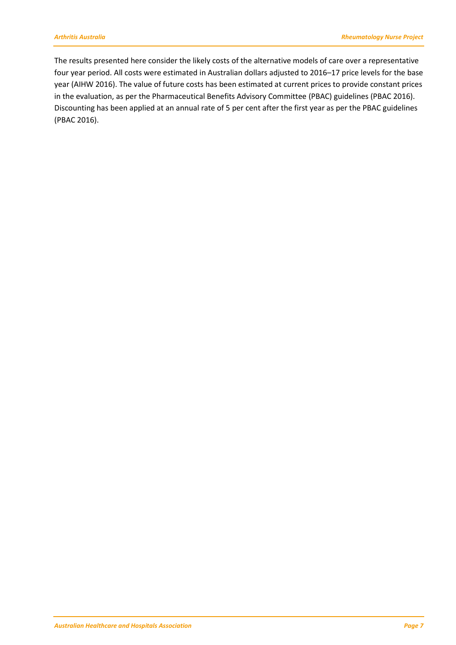The results presented here consider the likely costs of the alternative models of care over a representative four year period. All costs were estimated in Australian dollars adjusted to 2016–17 price levels for the base year (AIHW 2016). The value of future costs has been estimated at current prices to provide constant prices in the evaluation, as per the Pharmaceutical Benefits Advisory Committee (PBAC) guidelines (PBAC 2016). Discounting has been applied at an annual rate of 5 per cent after the first year as per the PBAC guidelines (PBAC 2016).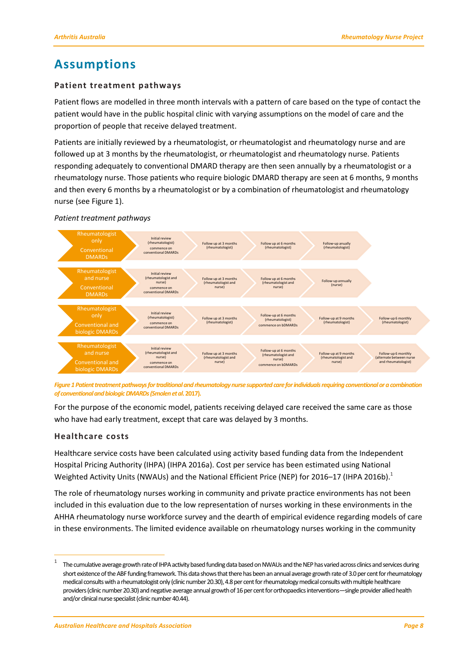## <span id="page-11-0"></span>**Assumptions**

#### <span id="page-11-1"></span>**Patient treatment pathways**

Patient flows are modelled in three month intervals with a pattern of care based on the type of contact the patient would have in the public hospital clinic with varying assumptions on the model of care and the proportion of people that receive delayed treatment.

Patients are initially reviewed by a rheumatologist, or rheumatologist and rheumatology nurse and are followed up at 3 months by the rheumatologist, or rheumatologist and rheumatology nurse. Patients responding adequately to conventional DMARD therapy are then seen annually by a rheumatologist or a rheumatology nurse. Those patients who require biologic DMARD therapy are seen at 6 months, 9 months and then every 6 months by a rheumatologist or by a combination of rheumatologist and rheumatology nurse (see Figure 1).

#### *Patient treatment pathways*



Figure 1 Patient treatment pathways for traditional and rheumatology nurse supported care for individuals requiring conventional or a combination *of conventional and biologic DMARDs(Smolen et al***.2017).**

For the purpose of the economic model, patients receiving delayed care received the same care as those who have had early treatment, except that care was delayed by 3 months.

#### <span id="page-11-2"></span>**Healthcare costs**

 $\overline{a}$ 

Healthcare service costs have been calculated using activity based funding data from the Independent Hospital Pricing Authority (IHPA) (IHPA 2016a). Cost per service has been estimated using National Weighted Activity Units (NWAUs) and the National Efficient Price (NEP) for 2016–17 (IHPA 2016b).<sup>1</sup>

The role of rheumatology nurses working in community and private practice environments has not been included in this evaluation due to the low representation of nurses working in these environments in the AHHA rheumatology nurse workforce survey and the dearth of empirical evidence regarding models of care in these environments. The limited evidence available on rheumatology nurses working in the community

<sup>1</sup> The cumulative average growth rate of IHPA activity based funding data based on NWAUs and the NEP has varied across clinics and services during short existence of the ABF funding framework. This data shows that there has been an annual average growth rate of 3.0 per cent for rheumatology medical consults with a rheumatologist only (clinic number 20.30), 4.8 per cent for rheumatology medical consults with multiple healthcare providers (clinic number 20.30) and negative average annual growth of 16 per cent for orthopaedics interventions—single provider allied health and/or clinical nurse specialist (clinic number 40.44).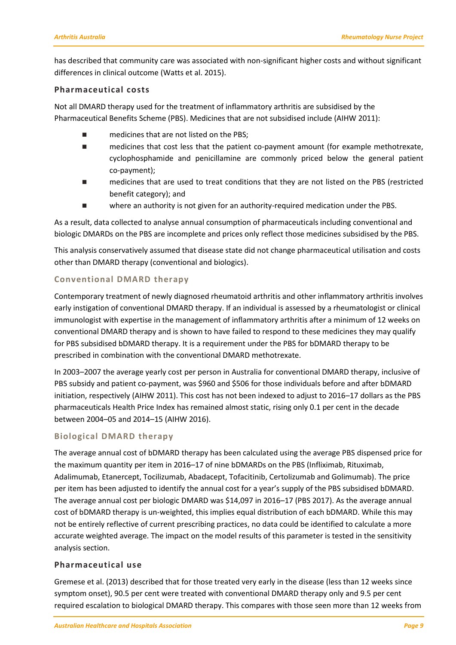has described that community care was associated with non-significant higher costs and without significant differences in clinical outcome (Watts et al. 2015).

#### <span id="page-12-0"></span>**Pharmaceutical costs**

Not all DMARD therapy used for the treatment of inflammatory arthritis are subsidised by the Pharmaceutical Benefits Scheme (PBS). Medicines that are not subsidised include (AIHW 2011):

- medicines that are not listed on the PBS;
- medicines that cost less that the patient co-payment amount (for example methotrexate, cyclophosphamide and penicillamine are commonly priced below the general patient co-payment);
- medicines that are used to treat conditions that they are not listed on the PBS (restricted benefit category); and
- where an authority is not given for an authority-required medication under the PBS.

As a result, data collected to analyse annual consumption of pharmaceuticals including conventional and biologic DMARDs on the PBS are incomplete and prices only reflect those medicines subsidised by the PBS.

This analysis conservatively assumed that disease state did not change pharmaceutical utilisation and costs other than DMARD therapy (conventional and biologics).

#### **Conventional DMARD therapy**

Contemporary treatment of newly diagnosed rheumatoid arthritis and other inflammatory arthritis involves early instigation of conventional DMARD therapy. If an individual is assessed by a rheumatologist or clinical immunologist with expertise in the management of inflammatory arthritis after a minimum of 12 weeks on conventional DMARD therapy and is shown to have failed to respond to these medicines they may qualify for PBS subsidised bDMARD therapy. It is a requirement under the PBS for bDMARD therapy to be prescribed in combination with the conventional DMARD methotrexate.

In 2003–2007 the average yearly cost per person in Australia for conventional DMARD therapy, inclusive of PBS subsidy and patient co-payment, was \$960 and \$506 for those individuals before and after bDMARD initiation, respectively (AIHW 2011). This cost has not been indexed to adjust to 2016–17 dollars as the PBS pharmaceuticals Health Price Index has remained almost static, rising only 0.1 per cent in the decade between 2004–05 and 2014–15 (AIHW 2016).

#### **Biological DMARD therapy**

The average annual cost of bDMARD therapy has been calculated using the average PBS dispensed price for the maximum quantity per item in 2016–17 of nine bDMARDs on the PBS (Infliximab, Rituximab, Adalimumab, Etanercept, Tocilizumab, Abadacept, Tofacitinib, Certolizumab and Golimumab). The price per item has been adjusted to identify the annual cost for a year's supply of the PBS subsidised bDMARD. The average annual cost per biologic DMARD was \$14,097 in 2016–17 (PBS 2017). As the average annual cost of bDMARD therapy is un-weighted, this implies equal distribution of each bDMARD. While this may not be entirely reflective of current prescribing practices, no data could be identified to calculate a more accurate weighted average. The impact on the model results of this parameter is tested in the sensitivity analysis section.

#### <span id="page-12-1"></span>**Pharmaceutical use**

Gremese et al. (2013) described that for those treated very early in the disease (less than 12 weeks since symptom onset), 90.5 per cent were treated with conventional DMARD therapy only and 9.5 per cent required escalation to biological DMARD therapy. This compares with those seen more than 12 weeks from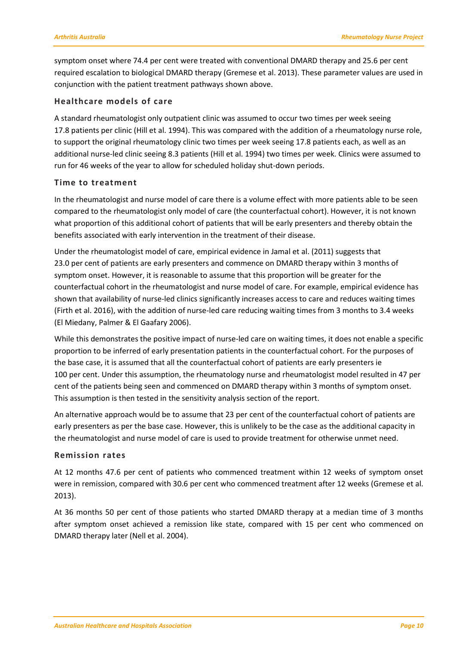symptom onset where 74.4 per cent were treated with conventional DMARD therapy and 25.6 per cent required escalation to biological DMARD therapy (Gremese et al. 2013). These parameter values are used in conjunction with the patient treatment pathways shown above.

#### <span id="page-13-0"></span>**Healthcare models of care**

A standard rheumatologist only outpatient clinic was assumed to occur two times per week seeing 17.8 patients per clinic (Hill et al. 1994). This was compared with the addition of a rheumatology nurse role, to support the original rheumatology clinic two times per week seeing 17.8 patients each, as well as an additional nurse-led clinic seeing 8.3 patients (Hill et al. 1994) two times per week. Clinics were assumed to run for 46 weeks of the year to allow for scheduled holiday shut-down periods.

#### <span id="page-13-1"></span>**Time to treatment**

In the rheumatologist and nurse model of care there is a volume effect with more patients able to be seen compared to the rheumatologist only model of care (the counterfactual cohort). However, it is not known what proportion of this additional cohort of patients that will be early presenters and thereby obtain the benefits associated with early intervention in the treatment of their disease.

Under the rheumatologist model of care, empirical evidence in Jamal et al. (2011) suggests that 23.0 per cent of patients are early presenters and commence on DMARD therapy within 3 months of symptom onset. However, it is reasonable to assume that this proportion will be greater for the counterfactual cohort in the rheumatologist and nurse model of care. For example, empirical evidence has shown that availability of nurse-led clinics significantly increases access to care and reduces waiting times (Firth et al. 2016), with the addition of nurse-led care reducing waiting times from 3 months to 3.4 weeks (El Miedany, Palmer & El Gaafary 2006).

While this demonstrates the positive impact of nurse-led care on waiting times, it does not enable a specific proportion to be inferred of early presentation patients in the counterfactual cohort. For the purposes of the base case, it is assumed that all the counterfactual cohort of patients are early presenters ie 100 per cent. Under this assumption, the rheumatology nurse and rheumatologist model resulted in 47 per cent of the patients being seen and commenced on DMARD therapy within 3 months of symptom onset. This assumption is then tested in the sensitivity analysis section of the report.

An alternative approach would be to assume that 23 per cent of the counterfactual cohort of patients are early presenters as per the base case. However, this is unlikely to be the case as the additional capacity in the rheumatologist and nurse model of care is used to provide treatment for otherwise unmet need.

#### <span id="page-13-2"></span>**Remission rates**

At 12 months 47.6 per cent of patients who commenced treatment within 12 weeks of symptom onset were in remission, compared with 30.6 per cent who commenced treatment after 12 weeks (Gremese et al. 2013).

At 36 months 50 per cent of those patients who started DMARD therapy at a median time of 3 months after symptom onset achieved a remission like state, compared with 15 per cent who commenced on DMARD therapy later (Nell et al. 2004).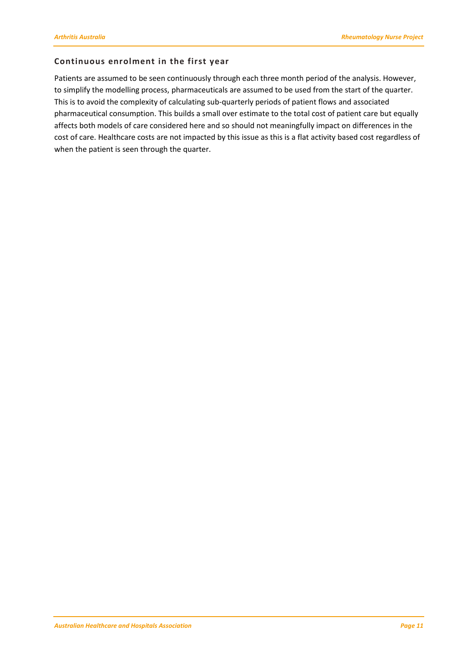#### <span id="page-14-0"></span>**Continuous enrolment in the first year**

Patients are assumed to be seen continuously through each three month period of the analysis. However, to simplify the modelling process, pharmaceuticals are assumed to be used from the start of the quarter. This is to avoid the complexity of calculating sub-quarterly periods of patient flows and associated pharmaceutical consumption. This builds a small over estimate to the total cost of patient care but equally affects both models of care considered here and so should not meaningfully impact on differences in the cost of care. Healthcare costs are not impacted by this issue as this is a flat activity based cost regardless of when the patient is seen through the quarter.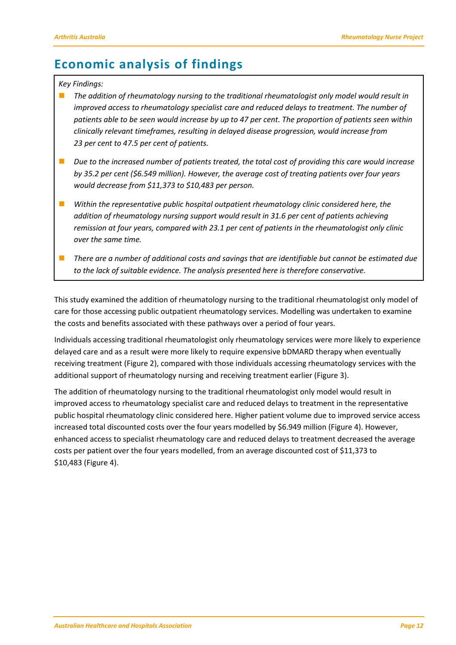# <span id="page-15-0"></span>**Economic analysis of findings**

#### *Key Findings:*

- *The addition of rheumatology nursing to the traditional rheumatologist only model would result in improved access to rheumatology specialist care and reduced delays to treatment. The number of patients able to be seen would increase by up to 47 per cent. The proportion of patients seen within clinically relevant timeframes, resulting in delayed disease progression, would increase from 23 per cent to 47.5 per cent of patients.*
- Due to the increased number of patients treated, the total cost of providing this care would increase *by 35.2 per cent (\$6.549 million). However, the average cost of treating patients over four years would decrease from \$11,373 to \$10,483 per person.*
- *Within the representative public hospital outpatient rheumatology clinic considered here, the addition of rheumatology nursing support would result in 31.6 per cent of patients achieving remission at four years, compared with 23.1 per cent of patients in the rheumatologist only clinic over the same time.*
- *There are a number of additional costs and savings that are identifiable but cannot be estimated due to the lack of suitable evidence. The analysis presented here is therefore conservative.*

This study examined the addition of rheumatology nursing to the traditional rheumatologist only model of care for those accessing public outpatient rheumatology services. Modelling was undertaken to examine the costs and benefits associated with these pathways over a period of four years.

Individuals accessing traditional rheumatologist only rheumatology services were more likely to experience delayed care and as a result were more likely to require expensive bDMARD therapy when eventually receiving treatment (Figure 2), compared with those individuals accessing rheumatology services with the additional support of rheumatology nursing and receiving treatment earlier (Figure 3).

The addition of rheumatology nursing to the traditional rheumatologist only model would result in improved access to rheumatology specialist care and reduced delays to treatment in the representative public hospital rheumatology clinic considered here. Higher patient volume due to improved service access increased total discounted costs over the four years modelled by \$6.949 million (Figure 4). However, enhanced access to specialist rheumatology care and reduced delays to treatment decreased the average costs per patient over the four years modelled, from an average discounted cost of \$11,373 to \$10,483 (Figure 4).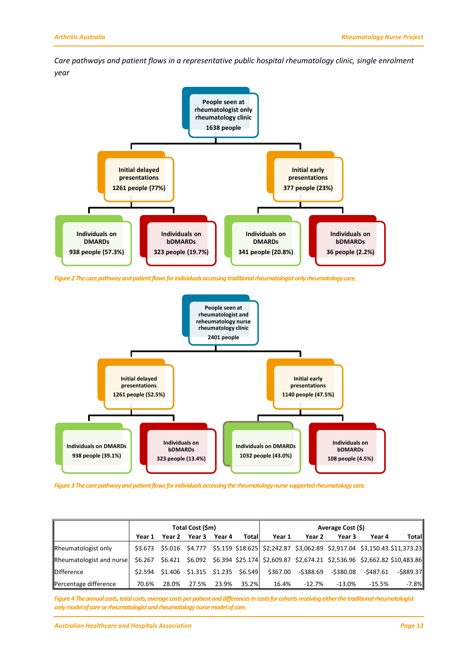*Care pathways and patient flows in a representative public hospital rheumatology clinic, single enrolment year*



*Figure 2The care pathway and patient flows for individuals accessing traditional rheumatologist only rheumatology care.*



*Figure 3The care pathwayand patient flows forindividuals accessing the rheumatology nurse supported rheumatology care.*

|                                                                                                                             |       |                                              | Total Cost (\$m) |        |       | Average Cost (\$) |                    |           |           |                                                                                                  |
|-----------------------------------------------------------------------------------------------------------------------------|-------|----------------------------------------------|------------------|--------|-------|-------------------|--------------------|-----------|-----------|--------------------------------------------------------------------------------------------------|
|                                                                                                                             |       | Year 1 Year 2 Year 3                         |                  | Year 4 | Total | Year 1            | Year 2             | Year 3    | Year 4    | Total                                                                                            |
| Rheumatologist only                                                                                                         |       |                                              |                  |        |       |                   |                    |           |           | \$3.673 \$5.016 \$4.777 \$5.159 \$18.625 \$2,242.87 \$3,062.89 \$2,917.04 \$3,150.43 \$11,373.23 |
| Rheumatologist and nurse   \$6.267 \$6.421 \$6.092 \$6.394 \$25.174 \$2,609.87 \$2,674.21 \$2,536.96 \$2,662.82 \$10,483.86 |       |                                              |                  |        |       |                   |                    |           |           |                                                                                                  |
| <b>Difference</b>                                                                                                           |       | $$2.594$ $$1.406$ $$1.315$ $$1.235$ $$6.549$ |                  |        |       |                   | \$367.00 -\$388.69 | -\$380.08 | -\$487.61 | -\$889.37                                                                                        |
| Percentage difference                                                                                                       | 70.6% | 28.0%                                        | 27.5%            | 23.9%  | 35.2% | 16.4%             | -12.7%             | -13.0%    | -15.5%    | $-7.8%$                                                                                          |

*Figure 4The annual costs, total costs, average costs per patient and differences in costs for cohorts receiving either the traditional rheumatologist only model of care or rheumatologist and rheumatology nurse model of care.*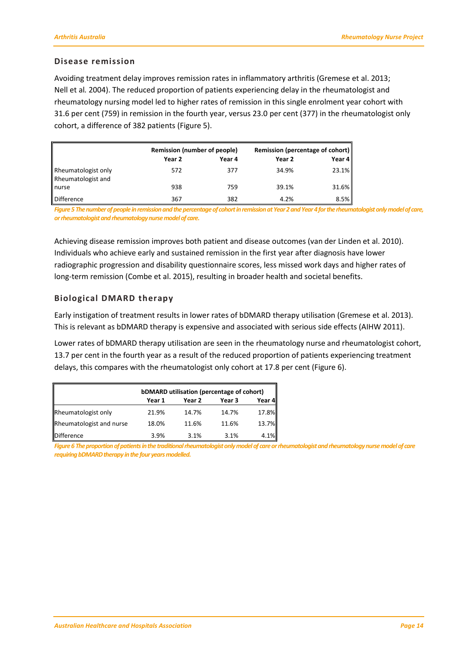#### <span id="page-17-0"></span>**Disease remission**

Avoiding treatment delay improves remission rates in inflammatory arthritis (Gremese et al. 2013; Nell et al*.* 2004). The reduced proportion of patients experiencing delay in the rheumatologist and rheumatology nursing model led to higher rates of remission in this single enrolment year cohort with 31.6 per cent (759) in remission in the fourth year, versus 23.0 per cent (377) in the rheumatologist only cohort, a difference of 382 patients (Figure 5).

|                                           | <b>Remission (number of people)</b> |        | Remission (percentage of cohort) |          |  |  |
|-------------------------------------------|-------------------------------------|--------|----------------------------------|----------|--|--|
|                                           | Year 2                              | Year 4 | Year 2                           | Year 4   |  |  |
| Rheumatologist only<br>Rheumatologist and | 572                                 | 377    | 34.9%                            | 23.1%    |  |  |
| nurse                                     | 938                                 | 759    | 39.1%                            | $31.6\%$ |  |  |
| <b>Difference</b>                         | 367                                 | 382    | 4.2%                             | 8.5%     |  |  |

*Figure 5The number of people in remission and the percentage of cohortin remission at Year 2 and Year 4 for the rheumatologist only model of care, or rheumatologist and rheumatology nurse model of care.*

Achieving disease remission improves both patient and disease outcomes (van der Linden et al. 2010). Individuals who achieve early and sustained remission in the first year after diagnosis have lower radiographic progression and disability questionnaire scores, less missed work days and higher rates of long-term remission (Combe et al. 2015), resulting in broader health and societal benefits.

#### <span id="page-17-1"></span>**Biological DMARD therapy**

Early instigation of treatment results in lower rates of bDMARD therapy utilisation (Gremese et al. 2013). This is relevant as bDMARD therapy is expensive and associated with serious side effects (AIHW 2011).

Lower rates of bDMARD therapy utilisation are seen in the rheumatology nurse and rheumatologist cohort, 13.7 per cent in the fourth year as a result of the reduced proportion of patients experiencing treatment delays, this compares with the rheumatologist only cohort at 17.8 per cent (Figure 6).

|                            | bDMARD utilisation (percentage of cohort) |        |        |        |  |  |  |  |  |  |
|----------------------------|-------------------------------------------|--------|--------|--------|--|--|--|--|--|--|
|                            | Year 1                                    | Year 2 | Year 3 | Year 4 |  |  |  |  |  |  |
| <b>Rheumatologist only</b> | 21.9%                                     | 14.7%  | 14.7%  | 17.8%  |  |  |  |  |  |  |
| Rheumatologist and nurse   | 18.0%                                     | 11.6%  | 11.6%  | 13.7%  |  |  |  |  |  |  |
| <b>Difference</b>          | 3.9%                                      | 3.1%   | 3.1%   | 4.1%   |  |  |  |  |  |  |

*Figure 6The proportion of patients in the traditional rheumatologist only model of care or rheumatologist and rheumatology nurse model of care*  requiring bDMARD therapy in the four years modelled.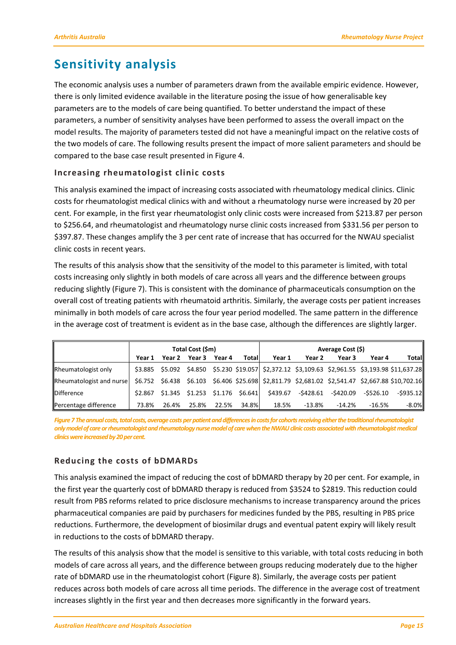# <span id="page-18-0"></span>**Sensitivity analysis**

The economic analysis uses a number of parameters drawn from the available empiric evidence. However, there is only limited evidence available in the literature posing the issue of how generalisable key parameters are to the models of care being quantified. To better understand the impact of these parameters, a number of sensitivity analyses have been performed to assess the overall impact on the model results. The majority of parameters tested did not have a meaningful impact on the relative costs of the two models of care. The following results present the impact of more salient parameters and should be compared to the base case result presented in Figure 4.

#### <span id="page-18-1"></span>**Increasing rheumatologist clinic costs**

This analysis examined the impact of increasing costs associated with rheumatology medical clinics. Clinic costs for rheumatologist medical clinics with and without a rheumatology nurse were increased by 20 per cent. For example, in the first year rheumatologist only clinic costs were increased from \$213.87 per person to \$256.64, and rheumatologist and rheumatology nurse clinic costs increased from \$331.56 per person to \$397.87. These changes amplify the 3 per cent rate of increase that has occurred for the NWAU specialist clinic costs in recent years.

The results of this analysis show that the sensitivity of the model to this parameter is limited, with total costs increasing only slightly in both models of care across all years and the difference between groups reducing slightly (Figure 7). This is consistent with the dominance of pharmaceuticals consumption on the overall cost of treating patients with rheumatoid arthritis. Similarly, the average costs per patient increases minimally in both models of care across the four year period modelled. The same pattern in the difference in the average cost of treatment is evident as in the base case, although the differences are slightly larger.

|                          |         |       | Total Cost (\$m)                    |        |       | Average Cost (\$) |           |           |           |                                                                                                  |
|--------------------------|---------|-------|-------------------------------------|--------|-------|-------------------|-----------|-----------|-----------|--------------------------------------------------------------------------------------------------|
|                          | Year 1  |       | Year 2 Year 3                       | Year 4 | Total | Year 1            | Year 2    | Year 3    | Year 4    | Total                                                                                            |
| Rheumatologist only      |         |       |                                     |        |       |                   |           |           |           | \$3.885 \$5.092 \$4.850 \$5.230 \$19.057 \$2,372.12 \$3,109.63 \$2,961.55 \$3,193.98 \$11,637.28 |
| Rheumatologist and nurse |         |       |                                     |        |       |                   |           |           |           | \$6.752 \$6.438 \$6.103 \$6.406 \$25.698 \$2,811.79 \$2,681.02 \$2,541.47 \$2,667.88 \$10,702.16 |
| <b>IDifference</b>       | \$2.867 |       | $$1.345$ $$1.253$ $$1.176$ $$6.641$ |        |       | \$439.67          | -\$428.61 | -\$420.09 | -\$526.10 | $-$ \$935.12                                                                                     |
| Percentage difference    | 73.8%   | 26.4% | 25.8%                               | 22.5%  | 34.8% | 18.5%             | $-13.8\%$ | -14.2%    | $-16.5%$  | $-8.0%$                                                                                          |

*Figure 7The annual costs, total costs, average costs per patient and differences in costs for cohorts receiving either the traditional rheumatologist only model of care or rheumatologist and rheumatology nurse model of care when the NWAU clinic costs associated with rheumatologist medical clinics were increased by 20per cent.*

#### <span id="page-18-2"></span>**Reducing the costs of bDMARDs**

This analysis examined the impact of reducing the cost of bDMARD therapy by 20 per cent. For example, in the first year the quarterly cost of bDMARD therapy is reduced from \$3524 to \$2819. This reduction could result from PBS reforms related to price disclosure mechanisms to increase transparency around the prices pharmaceutical companies are paid by purchasers for medicines funded by the PBS, resulting in PBS price reductions. Furthermore, the development of biosimilar drugs and eventual patent expiry will likely result in reductions to the costs of bDMARD therapy.

The results of this analysis show that the model is sensitive to this variable, with total costs reducing in both models of care across all years, and the difference between groups reducing moderately due to the higher rate of bDMARD use in the rheumatologist cohort (Figure 8). Similarly, the average costs per patient reduces across both models of care across all time periods. The difference in the average cost of treatment increases slightly in the first year and then decreases more significantly in the forward years.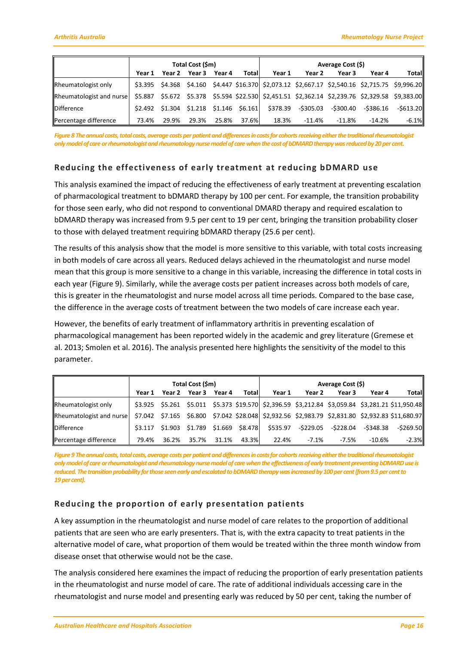|                            |       |                                              | Total Cost (\$m) |        |        | Average Cost (\$)                                                                               |                    |           |           |           |
|----------------------------|-------|----------------------------------------------|------------------|--------|--------|-------------------------------------------------------------------------------------------------|--------------------|-----------|-----------|-----------|
|                            |       | Year 1 Year 2 Year 3                         |                  | Year 4 | Totall | Year 1                                                                                          | Year 2             | Year 3    | Year 4    | Total     |
| <b>Rheumatologist only</b> |       |                                              |                  |        |        | \$3.395 \$4.368 \$4.160 \$4.447 \$16.370 \$2,073.12 \$2,667.17 \$2,540.16 \$2,715.75 \$9,996.20 |                    |           |           |           |
| Rheumatologist and nurse   |       |                                              |                  |        |        | \$5.887 \$5.672 \$5.378 \$5.594 \$22.530 \$2,451.51 \$2,362.14 \$2,239.76 \$2,329.58 \$9,383.00 |                    |           |           |           |
| <b>Difference</b>          |       | $$2.492$ $$1.304$ $$1.218$ $$1.146$ $$6.161$ |                  |        |        |                                                                                                 | \$378.39 -\$305.03 | -\$300.40 | -\$386.16 | -\$613.20 |
| Percentage difference      | 73.4% | 29.9%                                        | 29.3%            | 25.8%  | 37.6%  | 18.3%                                                                                           | -11.4%             | -11.8%    | $-14.2%$  | $-6.1%$   |

*Figure 8The annual costs, total costs, average costs per patient and differences in costs for cohorts receiving either the traditional rheumatologist only model of care or rheumatologist and rheumatology nurse model of care when the cost of bDMARDtherapywas reduced by 20per cent.*

#### <span id="page-19-0"></span>**Reducing the effectiveness of early treatment at reducing bDMARD use**

This analysis examined the impact of reducing the effectiveness of early treatment at preventing escalation of pharmacological treatment to bDMARD therapy by 100 per cent. For example, the transition probability for those seen early, who did not respond to conventional DMARD therapy and required escalation to bDMARD therapy was increased from 9.5 per cent to 19 per cent, bringing the transition probability closer to those with delayed treatment requiring bDMARD therapy (25.6 per cent).

The results of this analysis show that the model is more sensitive to this variable, with total costs increasing in both models of care across all years. Reduced delays achieved in the rheumatologist and nurse model mean that this group is more sensitive to a change in this variable, increasing the difference in total costs in each year (Figure 9). Similarly, while the average costs per patient increases across both models of care, this is greater in the rheumatologist and nurse model across all time periods. Compared to the base case, the difference in the average costs of treatment between the two models of care increase each year.

However, the benefits of early treatment of inflammatory arthritis in preventing escalation of pharmacological management has been reported widely in the academic and grey literature (Gremese et al. 2013; Smolen et al. 2016). The analysis presented here highlights the sensitivity of the model to this parameter.

|                          | Total Cost (\$m) |       |                                              |        |        | Average Cost (\$) |                    |        |                     |                                                                                                  |
|--------------------------|------------------|-------|----------------------------------------------|--------|--------|-------------------|--------------------|--------|---------------------|--------------------------------------------------------------------------------------------------|
|                          | Year 1           |       | Year 2 Year 3                                | Year 4 | Totall | Year 1            | Year 2             | Year 3 | Year 4              | Total                                                                                            |
| Rheumatologist only      |                  |       |                                              |        |        |                   |                    |        |                     | \$3.925 \$5.261 \$5.011 \$5.373 \$19.570 \$2,396.59 \$3,212.84 \$3,059.84 \$3,281.21 \$11,950.48 |
| Rheumatologist and nurse |                  |       |                                              |        |        |                   |                    |        |                     | \$7.042 \$7.165 \$6.800 \$7.042 \$28.048 \$2,932.56 \$2,983.79 \$2,831.80 \$2,932.83 \$11,680.97 |
| <b>IDifference</b>       |                  |       | $$3.117$ $$1.903$ $$1.789$ $$1.669$ $$8.478$ |        |        |                   | \$535.97 -\$229.05 |        | -\$228.04 -\$348.38 | $-$ \$269.50                                                                                     |
| Percentage difference    | 79.4%            | 36.2% | 35.7%                                        | 31.1%  | 43.3%  | 22.4%             | -7.1%              | -7.5%  | $-10.6\%$           | $-2.3%$                                                                                          |

*Figure 9The annual costs, total costs, average costs per patient and differences in costs for cohorts receiving either the traditional rheumatologist only model of care or rheumatologist and rheumatology nurse model of care when theeffectiveness of early treatment preventing bDMARD use is*  reduced. The transition probability for those seen early and escalated to bDMARD therapy was increased by 100 per cent (from 9.5 per cent to *19percent).*

#### <span id="page-19-1"></span>**Reducing the proportion of early presentation patients**

A key assumption in the rheumatologist and nurse model of care relates to the proportion of additional patients that are seen who are early presenters. That is, with the extra capacity to treat patients in the alternative model of care, what proportion of them would be treated within the three month window from disease onset that otherwise would not be the case.

The analysis considered here examines the impact of reducing the proportion of early presentation patients in the rheumatologist and nurse model of care. The rate of additional individuals accessing care in the rheumatologist and nurse model and presenting early was reduced by 50 per cent, taking the number of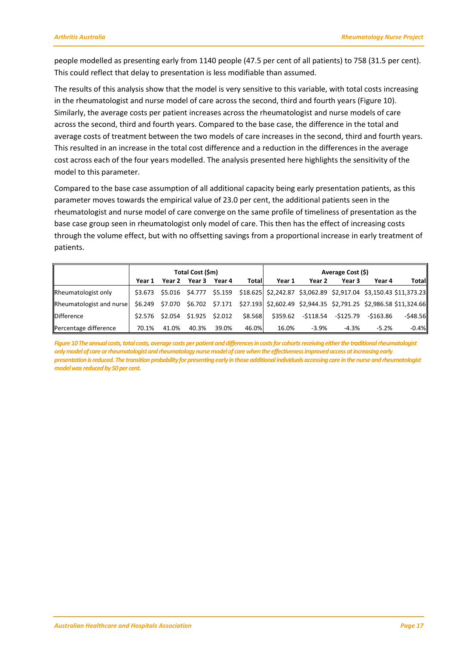people modelled as presenting early from 1140 people (47.5 per cent of all patients) to 758 (31.5 per cent). This could reflect that delay to presentation is less modifiable than assumed.

The results of this analysis show that the model is very sensitive to this variable, with total costs increasing in the rheumatologist and nurse model of care across the second, third and fourth years (Figure 10). Similarly, the average costs per patient increases across the rheumatologist and nurse models of care across the second, third and fourth years. Compared to the base case, the difference in the total and average costs of treatment between the two models of care increases in the second, third and fourth years. This resulted in an increase in the total cost difference and a reduction in the differences in the average cost across each of the four years modelled. The analysis presented here highlights the sensitivity of the model to this parameter.

Compared to the base case assumption of all additional capacity being early presentation patients, as this parameter moves towards the empirical value of 23.0 per cent, the additional patients seen in the rheumatologist and nurse model of care converge on the same profile of timeliness of presentation as the base case group seen in rheumatologist only model of care. This then has the effect of increasing costs through the volume effect, but with no offsetting savings from a proportional increase in early treatment of patients.

|                          | Total Cost (\$m) |                                 |       |       |         | Average Cost (\$)                                                                                |         |                                        |         |              |
|--------------------------|------------------|---------------------------------|-------|-------|---------|--------------------------------------------------------------------------------------------------|---------|----------------------------------------|---------|--------------|
|                          |                  | Year 1 Year 2 Year 3 Year 4     |       |       | Total   | Year 1                                                                                           | Year 2  | Year 3                                 | Year 4  | <b>Total</b> |
| Rheumatologist only      |                  |                                 |       |       |         | \$3.673 \$5.016 \$4.777 \$5.159 \$18.625 \$2,242.87 \$3,062.89 \$2,917.04 \$3,150.43 \$11,373.23 |         |                                        |         |              |
| Rheumatologist and nurse |                  |                                 |       |       |         | \$6.249 \$7.070 \$6.702 \$7.171 \$27.193 \$2,602.49 \$2,944.35 \$2,791.25 \$2,986.58 \$11,324.66 |         |                                        |         |              |
| <b>Difference</b>        |                  | \$2.576 \$2.054 \$1.925 \$2.012 |       |       | \$8.568 |                                                                                                  |         | \$359.62 -\$118.54 -\$125.79 -\$163.86 |         | $-548.56$    |
| Percentage difference    | 70.1%            | 41.0%                           | 40.3% | 39.0% | 46.0%   | 16.0%                                                                                            | $-3.9%$ | $-4.3%$                                | $-5.2%$ | $-0.4%$      |

*Figure 10The annual costs, total costs, average costs per patient and differences in costs for cohorts receiving either the traditional rheumatologist only model of care or rheumatologist and rheumatology nurse model of care when the effectiveness improved access at increasing early presentation is reduced. The transition probability for presenting early in those additional individuals accessing care in the nurse and rheumatologist model was reduced by 50 per cent.*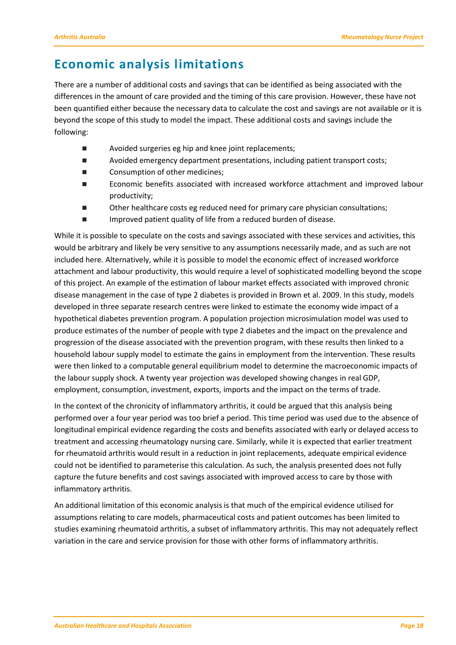## <span id="page-21-0"></span>**Economic analysis limitations**

There are a number of additional costs and savings that can be identified as being associated with the differences in the amount of care provided and the timing of this care provision. However, these have not been quantified either because the necessary data to calculate the cost and savings are not available or it is beyond the scope of this study to model the impact. These additional costs and savings include the following:

- Avoided surgeries eg hip and knee joint replacements;
- **Number 2** Avoided emergency department presentations, including patient transport costs;
- Consumption of other medicines;
- Economic benefits associated with increased workforce attachment and improved labour productivity;
- Other healthcare costs eg reduced need for primary care physician consultations;
- Improved patient quality of life from a reduced burden of disease.

While it is possible to speculate on the costs and savings associated with these services and activities, this would be arbitrary and likely be very sensitive to any assumptions necessarily made, and as such are not included here. Alternatively, while it is possible to model the economic effect of increased workforce attachment and labour productivity, this would require a level of sophisticated modelling beyond the scope of this project. An example of the estimation of labour market effects associated with improved chronic disease management in the case of type 2 diabetes is provided in Brown et al. 2009. In this study, models developed in three separate research centres were linked to estimate the economy wide impact of a hypothetical diabetes prevention program. A population projection microsimulation model was used to produce estimates of the number of people with type 2 diabetes and the impact on the prevalence and progression of the disease associated with the prevention program, with these results then linked to a household labour supply model to estimate the gains in employment from the intervention. These results were then linked to a computable general equilibrium model to determine the macroeconomic impacts of the labour supply shock. A twenty year projection was developed showing changes in real GDP, employment, consumption, investment, exports, imports and the impact on the terms of trade.

In the context of the chronicity of inflammatory arthritis, it could be argued that this analysis being performed over a four year period was too brief a period. This time period was used due to the absence of longitudinal empirical evidence regarding the costs and benefits associated with early or delayed access to treatment and accessing rheumatology nursing care. Similarly, while it is expected that earlier treatment for rheumatoid arthritis would result in a reduction in joint replacements, adequate empirical evidence could not be identified to parameterise this calculation. As such, the analysis presented does not fully capture the future benefits and cost savings associated with improved access to care by those with inflammatory arthritis.

An additional limitation of this economic analysis is that much of the empirical evidence utilised for assumptions relating to care models, pharmaceutical costs and patient outcomes has been limited to studies examining rheumatoid arthritis, a subset of inflammatory arthritis. This may not adequately reflect variation in the care and service provision for those with other forms of inflammatory arthritis.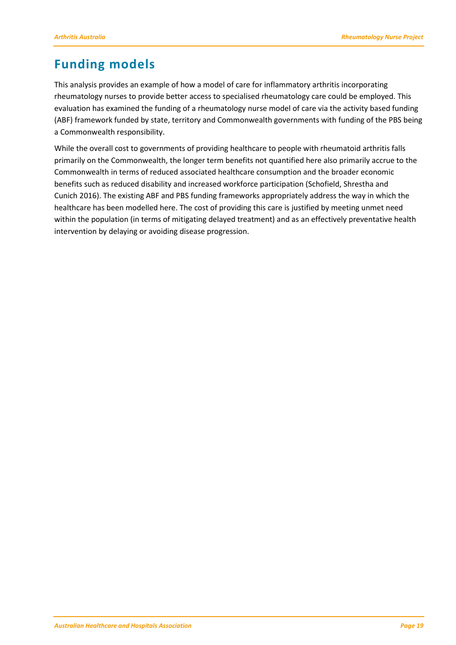# <span id="page-22-0"></span>**Funding models**

This analysis provides an example of how a model of care for inflammatory arthritis incorporating rheumatology nurses to provide better access to specialised rheumatology care could be employed. This evaluation has examined the funding of a rheumatology nurse model of care via the activity based funding (ABF) framework funded by state, territory and Commonwealth governments with funding of the PBS being a Commonwealth responsibility.

While the overall cost to governments of providing healthcare to people with rheumatoid arthritis falls primarily on the Commonwealth, the longer term benefits not quantified here also primarily accrue to the Commonwealth in terms of reduced associated healthcare consumption and the broader economic benefits such as reduced disability and increased workforce participation (Schofield, Shrestha and Cunich 2016). The existing ABF and PBS funding frameworks appropriately address the way in which the healthcare has been modelled here. The cost of providing this care is justified by meeting unmet need within the population (in terms of mitigating delayed treatment) and as an effectively preventative health intervention by delaying or avoiding disease progression.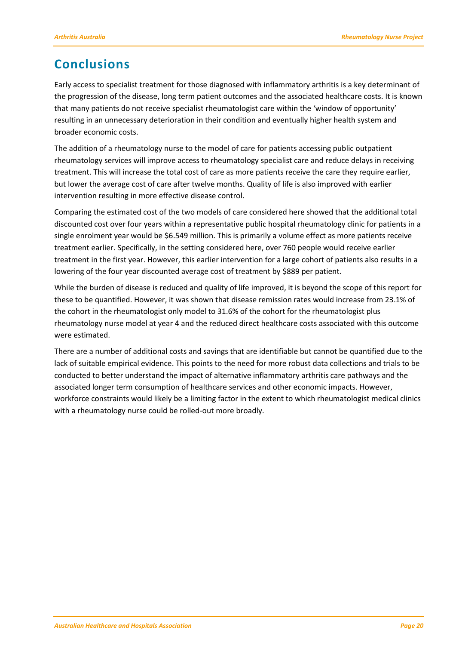# <span id="page-23-0"></span>**Conclusions**

Early access to specialist treatment for those diagnosed with inflammatory arthritis is a key determinant of the progression of the disease, long term patient outcomes and the associated healthcare costs. It is known that many patients do not receive specialist rheumatologist care within the 'window of opportunity' resulting in an unnecessary deterioration in their condition and eventually higher health system and broader economic costs.

The addition of a rheumatology nurse to the model of care for patients accessing public outpatient rheumatology services will improve access to rheumatology specialist care and reduce delays in receiving treatment. This will increase the total cost of care as more patients receive the care they require earlier, but lower the average cost of care after twelve months. Quality of life is also improved with earlier intervention resulting in more effective disease control.

Comparing the estimated cost of the two models of care considered here showed that the additional total discounted cost over four years within a representative public hospital rheumatology clinic for patients in a single enrolment year would be \$6.549 million. This is primarily a volume effect as more patients receive treatment earlier. Specifically, in the setting considered here, over 760 people would receive earlier treatment in the first year. However, this earlier intervention for a large cohort of patients also results in a lowering of the four year discounted average cost of treatment by \$889 per patient.

While the burden of disease is reduced and quality of life improved, it is beyond the scope of this report for these to be quantified. However, it was shown that disease remission rates would increase from 23.1% of the cohort in the rheumatologist only model to 31.6% of the cohort for the rheumatologist plus rheumatology nurse model at year 4 and the reduced direct healthcare costs associated with this outcome were estimated.

There are a number of additional costs and savings that are identifiable but cannot be quantified due to the lack of suitable empirical evidence. This points to the need for more robust data collections and trials to be conducted to better understand the impact of alternative inflammatory arthritis care pathways and the associated longer term consumption of healthcare services and other economic impacts. However, workforce constraints would likely be a limiting factor in the extent to which rheumatologist medical clinics with a rheumatology nurse could be rolled-out more broadly.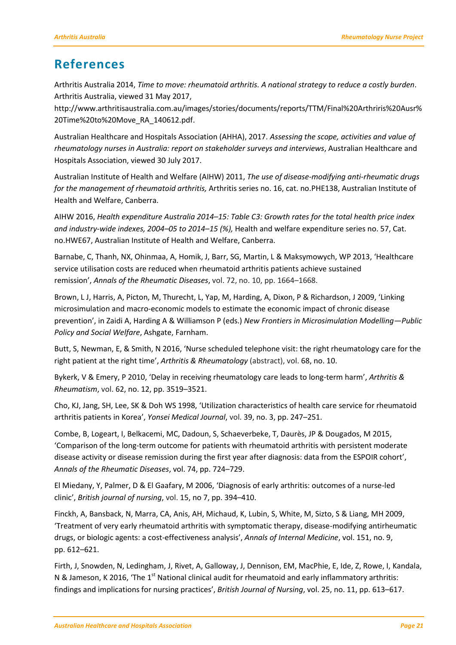### <span id="page-24-0"></span>**References**

Arthritis Australia 2014, *Time to move: rheumatoid arthritis. A national strategy to reduce a costly burden*. Arthritis Australia, viewed 31 May 2017,

http://www.arthritisaustralia.com.au/images/stories/documents/reports/TTM/Final%20Arthriris%20Ausr% 20Time%20to%20Move\_RA\_140612.pdf.

Australian Healthcare and Hospitals Association (AHHA), 2017. *Assessing the scope, activities and value of rheumatology nurses in Australia: report on stakeholder surveys and interviews*, Australian Healthcare and Hospitals Association, viewed 30 July 2017.

Australian Institute of Health and Welfare (AIHW) 2011, *The use of disease-modifying anti-rheumatic drugs for the management of rheumatoid arthritis,* Arthritis series no. 16, cat. no.PHE138, Australian Institute of Health and Welfare, Canberra.

AIHW 2016, *Health expenditure Australia 2014–15: Table C3: Growth rates for the total health price index and industry-wide indexes, 2004–05 to 2014–15 (%),* Health and welfare expenditure series no. 57, Cat. no.HWE67, Australian Institute of Health and Welfare, Canberra.

Barnabe, C, Thanh, NX, Ohinmaa, A, Homik, J, Barr, SG, Martin, L & Maksymowych, WP 2013, 'Healthcare service utilisation costs are reduced when rheumatoid arthritis patients achieve sustained remission', *Annals of the Rheumatic Diseases*, vol. 72, no. 10, pp. 1664–1668.

Brown, L J, Harris, A, Picton, M, Thurecht, L, Yap, M, Harding, A, Dixon, P & Richardson, J 2009, 'Linking microsimulation and macro-economic models to estimate the economic impact of chronic disease prevention', in Zaidi A, Harding A & Williamson P (eds.) *New Frontiers in Microsimulation Modelling—Public Policy and Social Welfare*, Ashgate, Farnham.

Butt, S, Newman, E, & Smith, N 2016, 'Nurse scheduled telephone visit: the right rheumatology care for the right patient at the right time', *Arthritis & Rheumatology* (abstract), vol. 68, no. 10.

Bykerk, V & Emery, P 2010, 'Delay in receiving rheumatology care leads to long‐term harm', *Arthritis & Rheumatism*, vol. 62, no. 12, pp. 3519–3521.

Cho, KJ, Jang, SH, Lee, SK & Doh WS 1998, 'Utilization characteristics of health care service for rheumatoid arthritis patients in Korea', *Yonsei Medical Journal*, vol. 39, no. 3, pp. 247–251.

Combe, B, Logeart, I, Belkacemi, MC, Dadoun, S, Schaeverbeke, T, Daurès, JP & Dougados, M 2015, 'Comparison of the long-term outcome for patients with rheumatoid arthritis with persistent moderate disease activity or disease remission during the first year after diagnosis: data from the ESPOIR cohort', *Annals of the Rheumatic Diseases*, vol. 74, pp. 724–729.

El Miedany, Y, Palmer, D & El Gaafary, M 2006, 'Diagnosis of early arthritis: outcomes of a nurse-led clinic', *British journal of nursing*, vol. 15, no 7, pp. 394–410.

Finckh, A, Bansback, N, Marra, CA, Anis, AH, Michaud, K, Lubin, S, White, M, Sizto, S & Liang, MH 2009, 'Treatment of very early rheumatoid arthritis with symptomatic therapy, disease-modifying antirheumatic drugs, or biologic agents: a cost-effectiveness analysis', *Annals of Internal Medicine*, vol. 151, no. 9, pp. 612–621.

Firth, J, Snowden, N, Ledingham, J, Rivet, A, Galloway, J, Dennison, EM, MacPhie, E, Ide, Z, Rowe, I, Kandala, N & Jameson, K 2016, 'The 1<sup>st</sup> National clinical audit for rheumatoid and early inflammatory arthritis: findings and implications for nursing practices', *British Journal of Nursing*, vol. 25, no. 11, pp. 613–617.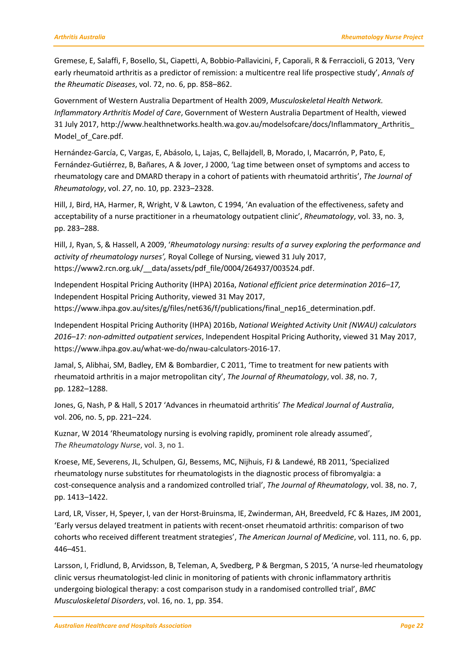Gremese, E, Salaffi, F, Bosello, SL, Ciapetti, A, Bobbio-Pallavicini, F, Caporali, R & Ferraccioli, G 2013, 'Very early rheumatoid arthritis as a predictor of remission: a multicentre real life prospective study', *Annals of the Rheumatic Diseases*, vol. 72, no. 6, pp. 858–862.

Government of Western Australia Department of Health 2009, *Musculoskeletal Health Network. Inflammatory Arthritis Model of Care*, Government of Western Australia Department of Health, viewed 31 July 2017, http://www.healthnetworks.health.wa.gov.au/modelsofcare/docs/Inflammatory\_Arthritis\_ Model\_of\_Care.pdf.

Hernández-García, C, Vargas, E, Abásolo, L, Lajas, C, Bellajdell, B, Morado, I, Macarrón, P, Pato, E, Fernández-Gutiérrez, B, Bañares, A & Jover, J 2000, 'Lag time between onset of symptoms and access to rheumatology care and DMARD therapy in a cohort of patients with rheumatoid arthritis', *The Journal of Rheumatology*, vol. *27*, no. 10, pp. 2323–2328.

Hill, J, Bird, HA, Harmer, R, Wright, V & Lawton, C 1994, 'An evaluation of the effectiveness, safety and acceptability of a nurse practitioner in a rheumatology outpatient clinic', *Rheumatology*, vol. 33, no. 3, pp. 283–288.

Hill, J, Ryan, S, & Hassell, A 2009, '*Rheumatology nursing: results of a survey exploring the performance and activity of rheumatology nurses',* Royal College of Nursing, viewed 31 July 2017, https://www2.rcn.org.uk/ data/assets/pdf file/0004/264937/003524.pdf.

Independent Hospital Pricing Authority (IHPA) 2016a, *National efficient price determination 2016–17,* Independent Hospital Pricing Authority, viewed 31 May 2017, https://www.ihpa.gov.au/sites/g/files/net636/f/publications/final\_nep16\_determination.pdf.

Independent Hospital Pricing Authority (IHPA) 2016b, *National Weighted Activity Unit (NWAU) calculators 2016–17: non-admitted outpatient services*, Independent Hospital Pricing Authority, viewed 31 May 2017, https://www.ihpa.gov.au/what-we-do/nwau-calculators-2016-17.

Jamal, S, Alibhai, SM, Badley, EM & Bombardier, C 2011, 'Time to treatment for new patients with rheumatoid arthritis in a major metropolitan city', *The Journal of Rheumatology*, vol. *38*, no. 7, pp. 1282–1288.

Jones, G, Nash, P & Hall, S 2017 'Advances in rheumatoid arthritis' *The Medical Journal of Australia*, vol. 206, no. 5, pp. 221–224.

Kuznar, W 2014 'Rheumatology nursing is evolving rapidly, prominent role already assumed', *The Rheumatology Nurse*, vol. 3, no 1.

Kroese, ME, Severens, JL, Schulpen, GJ, Bessems, MC, Nijhuis, FJ & Landewé, RB 2011, 'Specialized rheumatology nurse substitutes for rheumatologists in the diagnostic process of fibromyalgia: a cost-consequence analysis and a randomized controlled trial', *The Journal of Rheumatology*, vol. 38, no. 7, pp. 1413–1422.

Lard, LR, Visser, H, Speyer, I, van der Horst-Bruinsma, IE, Zwinderman, AH, Breedveld, FC & Hazes, JM 2001, 'Early versus delayed treatment in patients with recent-onset rheumatoid arthritis: comparison of two cohorts who received different treatment strategies', *The American Journal of Medicine*, vol. 111, no. 6, pp. 446–451.

Larsson, I, Fridlund, B, Arvidsson, B, Teleman, A, Svedberg, P & Bergman, S 2015, 'A nurse-led rheumatology clinic versus rheumatologist-led clinic in monitoring of patients with chronic inflammatory arthritis undergoing biological therapy: a cost comparison study in a randomised controlled trial', *BMC Musculoskeletal Disorders*, vol. 16, no. 1, pp. 354.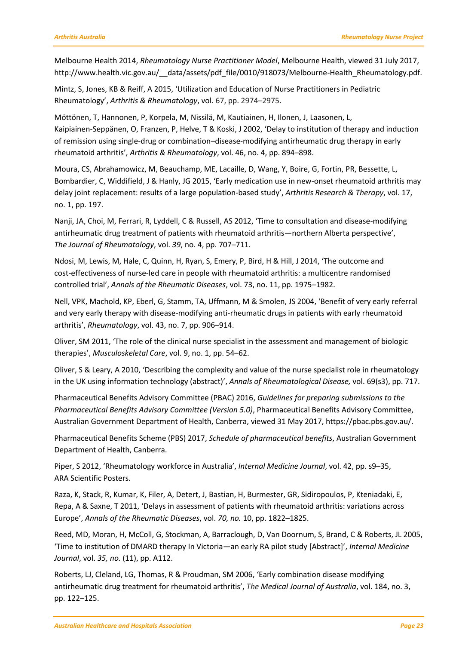Melbourne Health 2014, *Rheumatology Nurse Practitioner Model*, Melbourne Health, viewed 31 July 2017, http://www.health.vic.gov.au/\_\_data/assets/pdf\_file/0010/918073/Melbourne-Health\_Rheumatology.pdf.

Mintz, S, Jones, KB & Reiff, A 2015, 'Utilization and Education of Nurse Practitioners in Pediatric Rheumatology', *Arthritis & Rheumatology*, vol. 67, pp. 2974–2975.

Möttönen, T, Hannonen, P, Korpela, M, Nissilä, M, Kautiainen, H, Ilonen, J, Laasonen, L, Kaipiainen-Seppänen, O, Franzen, P, Helve, T & Koski, J 2002, 'Delay to institution of therapy and induction of remission using single‐drug or combination–disease‐modifying antirheumatic drug therapy in early rheumatoid arthritis', *Arthritis & Rheumatology*, vol. 46, no. 4, pp. 894–898.

Moura, CS, Abrahamowicz, M, Beauchamp, ME, Lacaille, D, Wang, Y, Boire, G, Fortin, PR, Bessette, L, Bombardier, C, Widdifield, J & Hanly, JG 2015, 'Early medication use in new-onset rheumatoid arthritis may delay joint replacement: results of a large population-based study', *Arthritis Research & Therapy*, vol. 17, no. 1, pp. 197.

Nanji, JA, Choi, M, Ferrari, R, Lyddell, C & Russell, AS 2012, 'Time to consultation and disease-modifying antirheumatic drug treatment of patients with rheumatoid arthritis—northern Alberta perspective', *The Journal of Rheumatology*, vol. *39*, no. 4, pp. 707–711.

Ndosi, M, Lewis, M, Hale, C, Quinn, H, Ryan, S, Emery, P, Bird, H & Hill, J 2014, 'The outcome and cost-effectiveness of nurse-led care in people with rheumatoid arthritis: a multicentre randomised controlled trial', *Annals of the Rheumatic Diseases*, vol. 73, no. 11, pp. 1975–1982.

Nell, VPK, Machold, KP, Eberl, G, Stamm, TA, Uffmann, M & Smolen, JS 2004, 'Benefit of very early referral and very early therapy with disease-modifying anti-rheumatic drugs in patients with early rheumatoid arthritis', *Rheumatology*, vol. 43, no. 7, pp. 906–914.

Oliver, SM 2011, 'The role of the clinical nurse specialist in the assessment and management of biologic therapies', *Musculoskeletal Care*, vol. 9, no. 1, pp. 54–62.

Oliver, S & Leary, A 2010, 'Describing the complexity and value of the nurse specialist role in rheumatology in the UK using information technology (abstract)', *Annals of Rheumatological Disease,* vol. 69(s3), pp. 717.

Pharmaceutical Benefits Advisory Committee (PBAC) 2016, *Guidelines for preparing submissions to the Pharmaceutical Benefits Advisory Committee (Version 5.0)*, Pharmaceutical Benefits Advisory Committee, Australian Government Department of Health, Canberra, viewed 31 May 2017, https://pbac.pbs.gov.au/.

Pharmaceutical Benefits Scheme (PBS) 2017, *Schedule of pharmaceutical benefits*, Australian Government Department of Health, Canberra.

Piper, S 2012, 'Rheumatology workforce in Australia', *Internal Medicine Journal*, vol. 42, pp. s9–35, ARA Scientific Posters.

Raza, K, Stack, R, Kumar, K, Filer, A, Detert, J, Bastian, H, Burmester, GR, Sidiropoulos, P, Kteniadaki, E, Repa, A & Saxne, T 2011, 'Delays in assessment of patients with rheumatoid arthritis: variations across Europe', *Annals of the Rheumatic Diseases*, vol. *70, no.* 10, pp. 1822–1825.

Reed, MD, Moran, H, McColl, G, Stockman, A, Barraclough, D, Van Doornum, S, Brand, C & Roberts, JL 2005, 'Time to institution of DMARD therapy In Victoria—an early RA pilot study [Abstract]', *Internal Medicine Journal*, vol. *35, no.* (11), pp. A112.

Roberts, LJ, Cleland, LG, Thomas, R & Proudman, SM 2006, 'Early combination disease modifying antirheumatic drug treatment for rheumatoid arthritis', *The Medical Journal of Australia*, vol. 184, no. 3, pp. 122–125.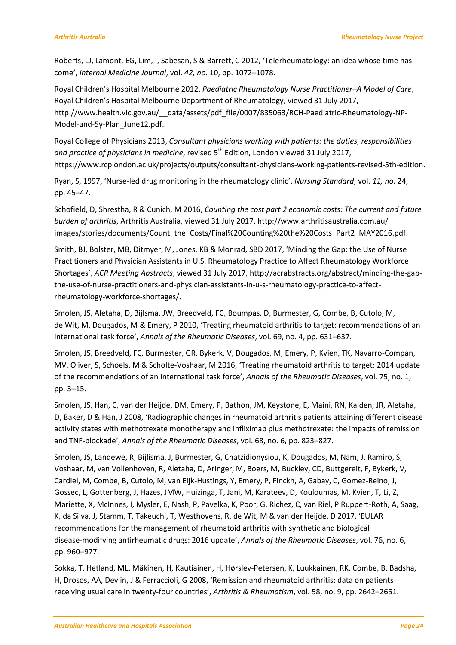Roberts, LJ, Lamont, EG, Lim, I, Sabesan, S & Barrett, C 2012, 'Telerheumatology: an idea whose time has come', *Internal Medicine Journal*, vol. *42, no.* 10, pp. 1072–1078.

Royal Children's Hospital Melbourne 2012, *Paediatric Rheumatology Nurse Practitioner–A Model of Care*, Royal Children's Hospital Melbourne Department of Rheumatology, viewed 31 July 2017, http://www.health.vic.gov.au/\_\_data/assets/pdf\_file/0007/835063/RCH-Paediatric-Rheumatology-NP-Model-and-5y-Plan\_June12.pdf.

Royal College of Physicians 2013, *Consultant physicians working with patients: the duties, responsibilities*  and practice of physicians in medicine, revised 5<sup>th</sup> Edition, London viewed 31 July 2017, https://www.rcplondon.ac.uk/projects/outputs/consultant-physicians-working-patients-revised-5th-edition.

Ryan, S, 1997, 'Nurse-led drug monitoring in the rheumatology clinic', *Nursing Standard*, vol. *11, no.* 24, pp. 45–47.

Schofield, D, Shrestha, R & Cunich, M 2016, *Counting the cost part 2 economic costs: The current and future burden of arthritis*, Arthritis Australia, viewed 31 July 2017, http://www.arthritisaustralia.com.au/ images/stories/documents/Count\_the\_Costs/Final%20Counting%20the%20Costs\_Part2\_MAY2016.pdf.

Smith, BJ, Bolster, MB, Ditmyer, M, Jones. KB & Monrad, SBD 2017, 'Minding the Gap: the Use of Nurse Practitioners and Physician Assistants in U.S. Rheumatology Practice to Affect Rheumatology Workforce Shortages', *ACR Meeting Abstracts*, viewed 31 July 2017, http://acrabstracts.org/abstract/minding-the-gapthe-use-of-nurse-practitioners-and-physician-assistants-in-u-s-rheumatology-practice-to-affectrheumatology-workforce-shortages/.

Smolen, JS, Aletaha, D, Bijlsma, JW, Breedveld, FC, Boumpas, D, Burmester, G, Combe, B, Cutolo, M, de Wit, M, Dougados, M & Emery, P 2010, 'Treating rheumatoid arthritis to target: recommendations of an international task force', *Annals of the Rheumatic Diseases*, vol. 69, no. 4, pp. 631–637.

Smolen, JS, Breedveld, FC, Burmester, GR, Bykerk, V, Dougados, M, Emery, P, Kvien, TK, Navarro-Compán, MV, Oliver, S, Schoels, M & Scholte-Voshaar, M 2016, 'Treating rheumatoid arthritis to target: 2014 update of the recommendations of an international task force', *Annals of the Rheumatic Diseases*, vol. 75, no. 1, pp. 3–15.

Smolen, JS, Han, C, van der Heijde, DM, Emery, P, Bathon, JM, Keystone, E, Maini, RN, Kalden, JR, Aletaha, D, Baker, D & Han, J 2008, 'Radiographic changes in rheumatoid arthritis patients attaining different disease activity states with methotrexate monotherapy and infliximab plus methotrexate: the impacts of remission and TNF-blockade', *Annals of the Rheumatic Diseases*, vol. 68, no. 6, pp. 823–827.

Smolen, JS, Landewe, R, Bijlisma, J, Burmester, G, Chatzidionysiou, K, Dougados, M, Nam, J, Ramiro, S, Voshaar, M, van Vollenhoven, R, Aletaha, D, Aringer, M, Boers, M, Buckley, CD, Buttgereit, F, Bykerk, V, Cardiel, M, Combe, B, Cutolo, M, van Eijk-Hustings, Y, Emery, P, Finckh, A, Gabay, C, Gomez-Reino, J, Gossec, L, Gottenberg, J, Hazes, JMW, Huizinga, T, Jani, M, Karateev, D, Kouloumas, M, Kvien, T, Li, Z, Mariette, X, McInnes, I, Mysler, E, Nash, P, Pavelka, K, Poor, G, Richez, C, van Riel, P Ruppert-Roth, A, Saag, K, da Silva, J, Stamm, T, Takeuchi, T, Westhovens, R, de Wit, M & van der Heijde, D 2017, 'EULAR recommendations for the management of rheumatoid arthritis with synthetic and biological disease-modifying antirheumatic drugs: 2016 update', *Annals of the Rheumatic Diseases*, vol. 76, no. 6, pp. 960–977.

Sokka, T, Hetland, ML, Mäkinen, H, Kautiainen, H, Hørslev‐Petersen, K, Luukkainen, RK, Combe, B, Badsha, H, Drosos, AA, Devlin, J & Ferraccioli, G 2008, 'Remission and rheumatoid arthritis: data on patients receiving usual care in twenty‐four countries', *Arthritis & Rheumatism*, vol. 58, no. 9, pp. 2642–2651.